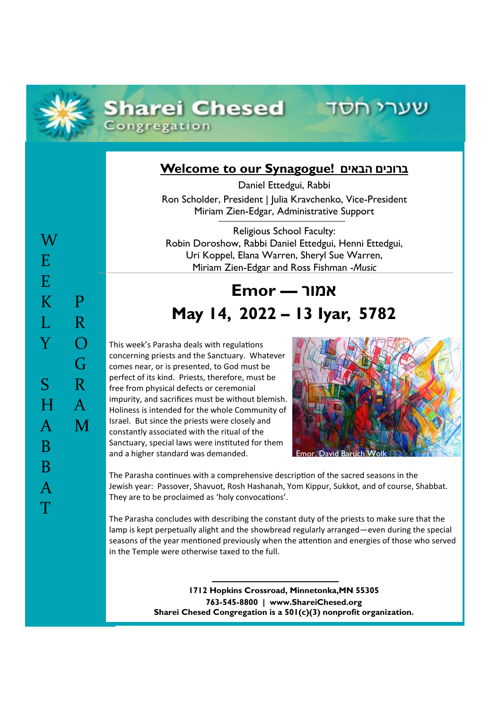

### **Sharei Chesed** Congregation

#### **Welcome to our Synagogue! הבאים ברוכים**

Daniel Ettedgui, Rabbi Ron Scholder, President | Julia Kravchenko, Vice-President Miriam Zien-Edgar, Administrative Support

Religious School Faculty: Robin Doroshow, Rabbi Daniel Ettedgui, Henni Ettedgui, Uri Koppel, Elana Warren, Sheryl Sue Warren, Miriam Zien-Edgar and Ross Fishman -*Music*

# **אמור — Emor May 14, 2022 – 13 Iyar, 5782**

This week's Parasha deals with regulations concerning priests and the Sanctuary. Whatever comes near, or is presented, to God must be perfect of its kind. Priests, therefore, must be free from physical defects or ceremonial impurity, and sacrifices must be without blemish. Holiness is intended for the whole Community of Israel. But since the priests were closely and constantly associated with the ritual of the Sanctuary, special laws were instituted for them and a higher standard was demanded.



שערי חסד

The Parasha continues with a comprehensive description of the sacred seasons in the Jewish year: Passover, Shavuot, Rosh Hashanah, Yom Kippur, Sukkot, and of course, Shabbat. They are to be proclaimed as 'holy convocations'.

The Parasha concludes with describing the constant duty of the priests to make sure that the lamp is kept perpetually alight and the showbread regularly arranged—even during the special seasons of the year mentioned previously when the attention and energies of those who served in the Temple were otherwise taxed to the full.

> **1712 Hopkins Crossroad, Minnetonka,MN 55305 763-545-8800 | www.ShareiChesed.org Sharei Chesed Congregation is a 501(c)(3) nonprofit organization.**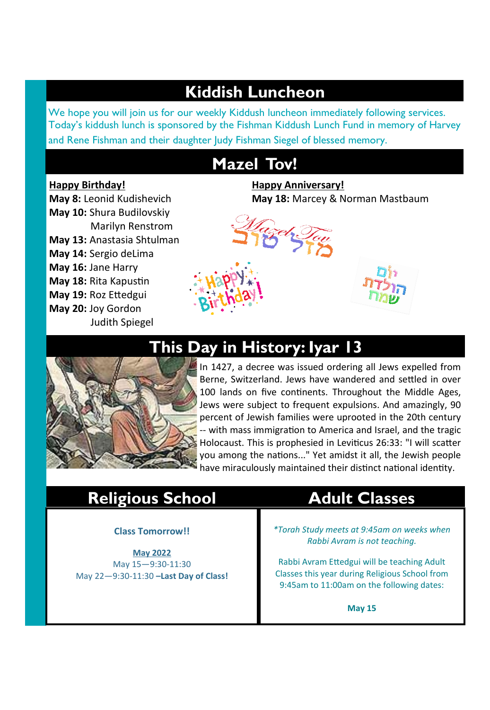### **Kiddish Luncheon**

We hope you will join us for our weekly Kiddush luncheon immediately following services. Today's kiddush lunch is sponsored by the Fishman Kiddush Lunch Fund in memory of Harvey and Rene Fishman and their daughter Judy Fishman Siegel of blessed memory.

## **Mazel Tov!**

**May 10:** Shura Budilovskiy Marilyn Renstrom **May 13:** Anastasia Shtulman **May 14:** Sergio deLima **May 16:** Jane Harry **May 18:** Rita Kapustin **May 19:** Roz Ettedgui **May 20:** Joy Gordon Judith Spiegel

#### **Happy Birthday! Happy Anniversary! May 8:** Leonid Kudishevich **May 18:** Marcey & Norman Mastbaum





# **This Day in History: Iyar 13**

In 1427, a decree was issued ordering all Jews expelled from Berne, Switzerland. Jews have wandered and settled in over 100 lands on five continents. Throughout the Middle Ages, Jews were subject to frequent expulsions. And amazingly, 90 percent of Jewish families were uprooted in the 20th century -- with mass immigration to America and Israel, and the tragic Holocaust. This is prophesied in Leviticus 26:33: "I will scatter you among the nations..." Yet amidst it all, the Jewish people have miraculously maintained their distinct national identity.

### **Religious School**

#### **Class Tomorrow!!**

**May 2022** May 15—9:30-11:30 May 22—9:30-11:30 **–Last Day of Class!**

# **Adult Classes**

*\*Torah Study meets at 9:45am on weeks when Rabbi Avram is not teaching.*

Rabbi Avram Ettedgui will be teaching Adult Classes this year during Religious School from 9:45am to 11:00am on the following dates:

**May 15**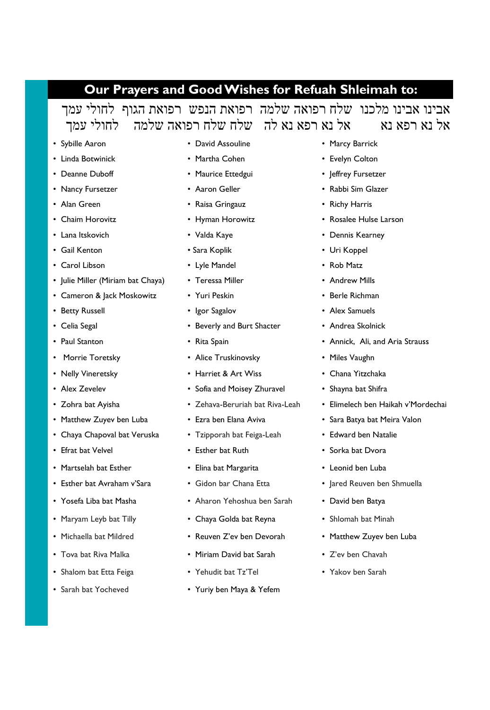### **Our Prayers and Good Wishes for Refuah Shleimah to:**

אבינו אבינו מלכנו שלח רפואה שלמה רפואת הנפש רפואת הגוף לחולי עמך<br>אל נא רפא נא אל נא רפא נא לה שלח שלח רפואה שלמה לחולי עמד אל נא רפא נא אל נא רפא נא לה שלח שלח רפואה שלמה לחולי עמך

- 
- 
- 
- 
- 
- 
- 
- Gail Kenton Sara Koplik Uri Koppel
- Carol Libson Lyle Mandel • Rob Matz
- Julie Miller (Miriam bat Chaya) Teressa Miller 1999 Andrew Mills
- Cameron & Jack Moskowitz Yuri Peskin 1997 Berle Richman
- 
- 
- 
- 
- 
- 
- 
- 
- 
- 
- Martselah bat Esther Elina bat Margarita Leonid ben Luba
- 
- 
- 
- 
- 
- Shalom bat Etta Feiga Yehudit bat Tz'Tel Yakov ben Sarah
- 
- 
- 
- 
- 
- 
- 
- 
- 
- 
- 
- 
- 
- Celia Segal Beverly and Burt Shacter Andrea Skolnick
	-
- Morrie Toretsky Alice Truskinovsky Miles Vaughn
- Nelly Vineretsky Harriet & Art Wiss Chana Yitzchaka
- Alex Zevelev Sofia and Moisey Zhuravel Shayna bat Shifra
	-
	-
- Chaya Chapoval bat Veruska Tzipporah bat Feiga-Leah Edward ben Natalie
	-
	-
	-
- Yosefa Liba bat Masha Aharon Yehoshua ben Sarah David ben Batya
- Maryam Leyb bat Tilly Chaya Golda bat Reyna Shlomah bat Minah
	-
- Tova bat Riva Malka Miriam David bat Sarah Z'ev ben Chavah
	-
- Sarah bat Yocheved Yuriy ben Maya & Yefem
- Sybille Aaron David Assouline Parcy Barrick
- Linda Botwinick Martha Cohen Evelyn Colton
- Deanne Duboff Maurice Ettedgui • • • effrey Fursetzer
- Nancy Fursetzer  **Aaron Geller And Full Figure Rabbi Sim Glazer**
- Alan Green **Canada Raisa Gringauz Richy Harris**
- Chaim Horovitz Hyman Horowitz • Rosalee Hulse Larson
- Lana Itskovich Valda Kaye Dennis Kearney
	-
	-
	-
	-
- Betty Russell Igor Sagalov Alex Samuels
	-
- Paul Stanton Rita Spain Annick, Ali, and Aria Strauss
	-
	-
	-
- Zohra bat Ayisha Zehava-Beruriah bat Riva-Leah Elimelech ben Haikah v'Mordechai
- Matthew Zuyev ben Luba Ezra ben Elana Aviva Sara Batya bat Meira Valon
	-
- Efrat bat Velvel Esther bat Ruth Sorka bat Dvora
	-
- Esther bat Avraham v'Sara Gidon bar Chana Etta Jared Reuven ben Shmuella
	-
	-
- Michaella bat Mildred Reuven Z'ev ben Devorah Matthew Zuyev ben Luba
	-
	-